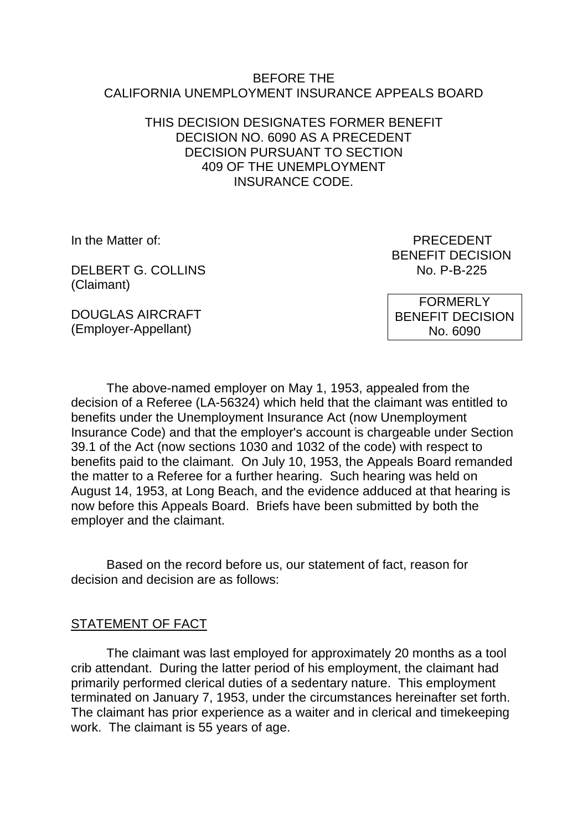#### BEFORE THE CALIFORNIA UNEMPLOYMENT INSURANCE APPEALS BOARD

#### THIS DECISION DESIGNATES FORMER BENEFIT DECISION NO. 6090 AS A PRECEDENT DECISION PURSUANT TO SECTION 409 OF THE UNEMPLOYMENT INSURANCE CODE.

DELBERT G. COLLINS No. P-B-225 (Claimant)

In the Matter of: PRECEDENT BENEFIT DECISION

DOUGLAS AIRCRAFT (Employer-Appellant)

FORMERLY BENEFIT DECISION No. 6090

The above-named employer on May 1, 1953, appealed from the decision of a Referee (LA-56324) which held that the claimant was entitled to benefits under the Unemployment Insurance Act (now Unemployment Insurance Code) and that the employer's account is chargeable under Section 39.1 of the Act (now sections 1030 and 1032 of the code) with respect to benefits paid to the claimant. On July 10, 1953, the Appeals Board remanded the matter to a Referee for a further hearing. Such hearing was held on August 14, 1953, at Long Beach, and the evidence adduced at that hearing is now before this Appeals Board. Briefs have been submitted by both the employer and the claimant.

Based on the record before us, our statement of fact, reason for decision and decision are as follows:

#### STATEMENT OF FACT

The claimant was last employed for approximately 20 months as a tool crib attendant. During the latter period of his employment, the claimant had primarily performed clerical duties of a sedentary nature. This employment terminated on January 7, 1953, under the circumstances hereinafter set forth. The claimant has prior experience as a waiter and in clerical and timekeeping work. The claimant is 55 years of age.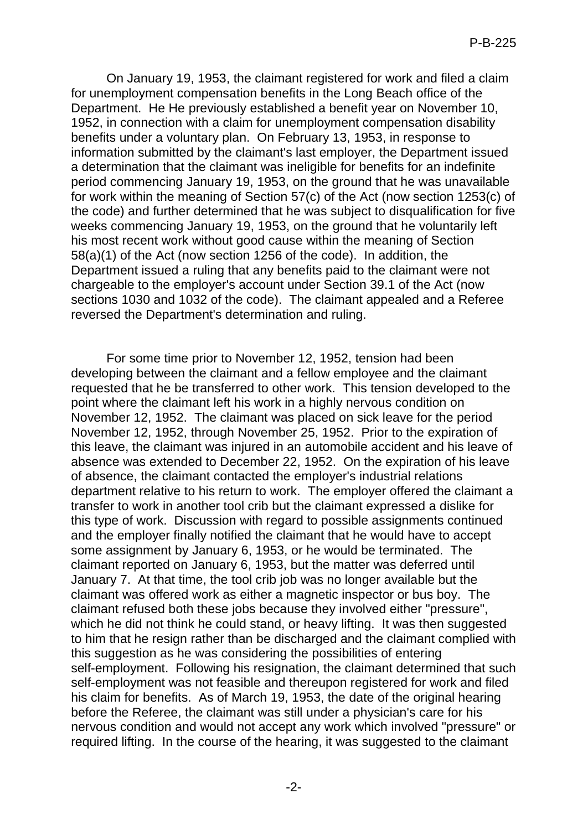On January 19, 1953, the claimant registered for work and filed a claim for unemployment compensation benefits in the Long Beach office of the Department. He He previously established a benefit year on November 10, 1952, in connection with a claim for unemployment compensation disability benefits under a voluntary plan. On February 13, 1953, in response to information submitted by the claimant's last employer, the Department issued a determination that the claimant was ineligible for benefits for an indefinite period commencing January 19, 1953, on the ground that he was unavailable for work within the meaning of Section 57(c) of the Act (now section 1253(c) of the code) and further determined that he was subject to disqualification for five weeks commencing January 19, 1953, on the ground that he voluntarily left his most recent work without good cause within the meaning of Section 58(a)(1) of the Act (now section 1256 of the code). In addition, the Department issued a ruling that any benefits paid to the claimant were not chargeable to the employer's account under Section 39.1 of the Act (now sections 1030 and 1032 of the code). The claimant appealed and a Referee reversed the Department's determination and ruling.

For some time prior to November 12, 1952, tension had been developing between the claimant and a fellow employee and the claimant requested that he be transferred to other work. This tension developed to the point where the claimant left his work in a highly nervous condition on November 12, 1952. The claimant was placed on sick leave for the period November 12, 1952, through November 25, 1952. Prior to the expiration of this leave, the claimant was injured in an automobile accident and his leave of absence was extended to December 22, 1952. On the expiration of his leave of absence, the claimant contacted the employer's industrial relations department relative to his return to work. The employer offered the claimant a transfer to work in another tool crib but the claimant expressed a dislike for this type of work. Discussion with regard to possible assignments continued and the employer finally notified the claimant that he would have to accept some assignment by January 6, 1953, or he would be terminated. The claimant reported on January 6, 1953, but the matter was deferred until January 7. At that time, the tool crib job was no longer available but the claimant was offered work as either a magnetic inspector or bus boy. The claimant refused both these jobs because they involved either "pressure", which he did not think he could stand, or heavy lifting. It was then suggested to him that he resign rather than be discharged and the claimant complied with this suggestion as he was considering the possibilities of entering self-employment. Following his resignation, the claimant determined that such self-employment was not feasible and thereupon registered for work and filed his claim for benefits. As of March 19, 1953, the date of the original hearing before the Referee, the claimant was still under a physician's care for his nervous condition and would not accept any work which involved "pressure" or required lifting. In the course of the hearing, it was suggested to the claimant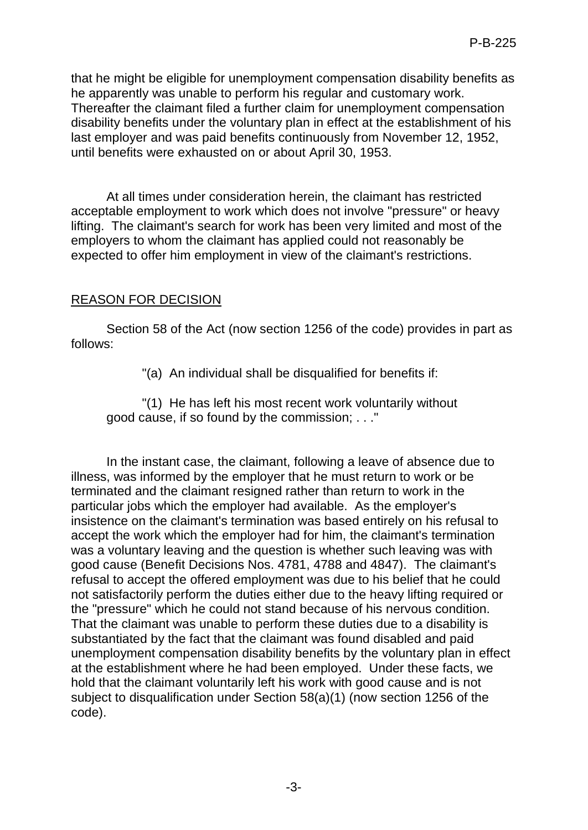that he might be eligible for unemployment compensation disability benefits as he apparently was unable to perform his regular and customary work. Thereafter the claimant filed a further claim for unemployment compensation disability benefits under the voluntary plan in effect at the establishment of his last employer and was paid benefits continuously from November 12, 1952, until benefits were exhausted on or about April 30, 1953.

At all times under consideration herein, the claimant has restricted acceptable employment to work which does not involve "pressure" or heavy lifting. The claimant's search for work has been very limited and most of the employers to whom the claimant has applied could not reasonably be expected to offer him employment in view of the claimant's restrictions.

# REASON FOR DECISION

Section 58 of the Act (now section 1256 of the code) provides in part as follows:

"(a) An individual shall be disqualified for benefits if:

"(1) He has left his most recent work voluntarily without good cause, if so found by the commission; . . ."

In the instant case, the claimant, following a leave of absence due to illness, was informed by the employer that he must return to work or be terminated and the claimant resigned rather than return to work in the particular jobs which the employer had available. As the employer's insistence on the claimant's termination was based entirely on his refusal to accept the work which the employer had for him, the claimant's termination was a voluntary leaving and the question is whether such leaving was with good cause (Benefit Decisions Nos. 4781, 4788 and 4847). The claimant's refusal to accept the offered employment was due to his belief that he could not satisfactorily perform the duties either due to the heavy lifting required or the "pressure" which he could not stand because of his nervous condition. That the claimant was unable to perform these duties due to a disability is substantiated by the fact that the claimant was found disabled and paid unemployment compensation disability benefits by the voluntary plan in effect at the establishment where he had been employed. Under these facts, we hold that the claimant voluntarily left his work with good cause and is not subject to disqualification under Section 58(a)(1) (now section 1256 of the code).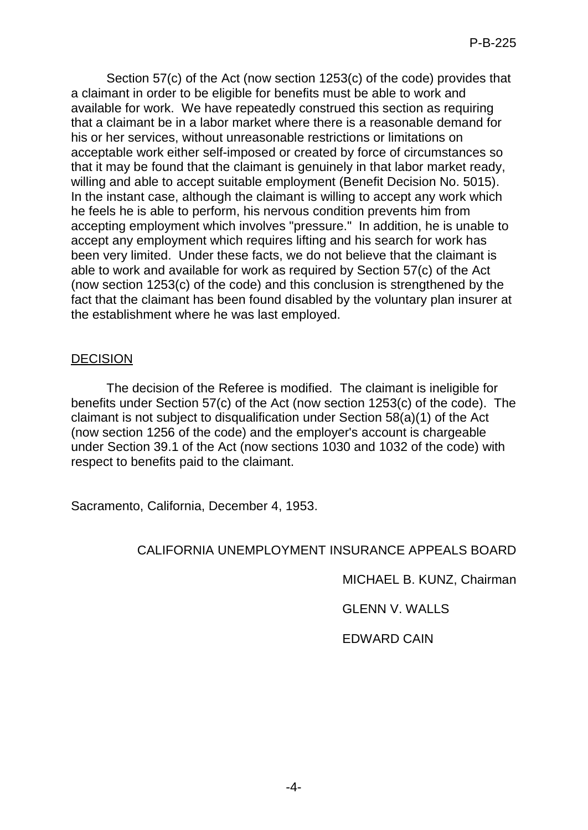Section 57(c) of the Act (now section 1253(c) of the code) provides that a claimant in order to be eligible for benefits must be able to work and available for work. We have repeatedly construed this section as requiring that a claimant be in a labor market where there is a reasonable demand for his or her services, without unreasonable restrictions or limitations on acceptable work either self-imposed or created by force of circumstances so that it may be found that the claimant is genuinely in that labor market ready, willing and able to accept suitable employment (Benefit Decision No. 5015). In the instant case, although the claimant is willing to accept any work which he feels he is able to perform, his nervous condition prevents him from accepting employment which involves "pressure." In addition, he is unable to accept any employment which requires lifting and his search for work has been very limited. Under these facts, we do not believe that the claimant is able to work and available for work as required by Section 57(c) of the Act (now section 1253(c) of the code) and this conclusion is strengthened by the fact that the claimant has been found disabled by the voluntary plan insurer at the establishment where he was last employed.

# DECISION

The decision of the Referee is modified. The claimant is ineligible for benefits under Section 57(c) of the Act (now section 1253(c) of the code). The claimant is not subject to disqualification under Section 58(a)(1) of the Act (now section 1256 of the code) and the employer's account is chargeable under Section 39.1 of the Act (now sections 1030 and 1032 of the code) with respect to benefits paid to the claimant.

Sacramento, California, December 4, 1953.

# CALIFORNIA UNEMPLOYMENT INSURANCE APPEALS BOARD

MICHAEL B. KUNZ, Chairman

GLENN V. WALLS

EDWARD CAIN